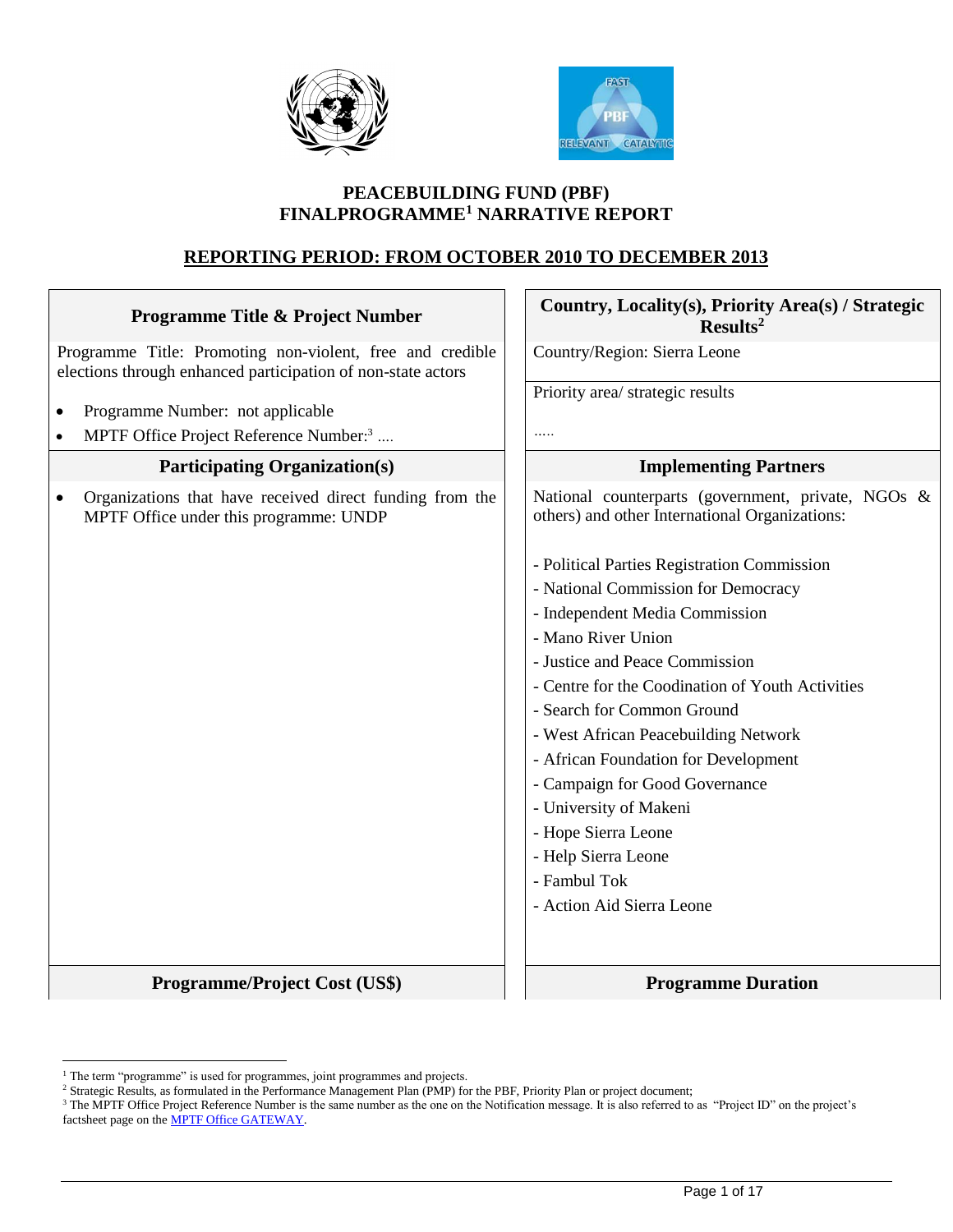



## **PEACEBUILDING FUND (PBF) FINALPROGRAMME<sup>1</sup> NARRATIVE REPORT**

## **REPORTING PERIOD: FROM OCTOBER 2010 TO DECEMBER 2013**

| <b>Programme Title &amp; Project Number</b>                                                                               | Country, Locality(s), Priority Area(s) / Strategic<br>Results <sup>2</sup>                                                                                                                                                                                                                                                                              |
|---------------------------------------------------------------------------------------------------------------------------|---------------------------------------------------------------------------------------------------------------------------------------------------------------------------------------------------------------------------------------------------------------------------------------------------------------------------------------------------------|
| Programme Title: Promoting non-violent, free and credible<br>elections through enhanced participation of non-state actors | Country/Region: Sierra Leone                                                                                                                                                                                                                                                                                                                            |
| Programme Number: not applicable<br>$\bullet$<br>MPTF Office Project Reference Number: <sup>3</sup><br>$\bullet$          | Priority area/ strategic results<br>                                                                                                                                                                                                                                                                                                                    |
| <b>Participating Organization(s)</b>                                                                                      | <b>Implementing Partners</b>                                                                                                                                                                                                                                                                                                                            |
| Organizations that have received direct funding from the<br>$\bullet$<br>MPTF Office under this programme: UNDP           | National counterparts (government, private, NGOs &<br>others) and other International Organizations:<br>- Political Parties Registration Commission<br>- National Commission for Democracy<br>- Independent Media Commission<br>- Mano River Union                                                                                                      |
|                                                                                                                           | - Justice and Peace Commission<br>- Centre for the Coodination of Youth Activities<br>- Search for Common Ground<br>- West African Peacebuilding Network<br>- African Foundation for Development<br>- Campaign for Good Governance<br>- University of Makeni<br>- Hope Sierra Leone<br>- Help Sierra Leone<br>- Fambul Tok<br>- Action Aid Sierra Leone |
| <b>Programme/Project Cost (US\$)</b>                                                                                      | <b>Programme Duration</b>                                                                                                                                                                                                                                                                                                                               |

 $\overline{a}$ 

<sup>&</sup>lt;sup>1</sup> The term "programme" is used for programmes, joint programmes and projects.

<sup>&</sup>lt;sup>2</sup> Strategic Results, as formulated in the Performance Management Plan (PMP) for the PBF, Priority Plan or project document;

<sup>&</sup>lt;sup>3</sup> The MPTF Office Project Reference Number is the same number as the one on the Notification message. It is also referred to as "Project ID" on the project's factsheet page on th[e MPTF Office GATEWAY.](http://mdtf.undp.org/)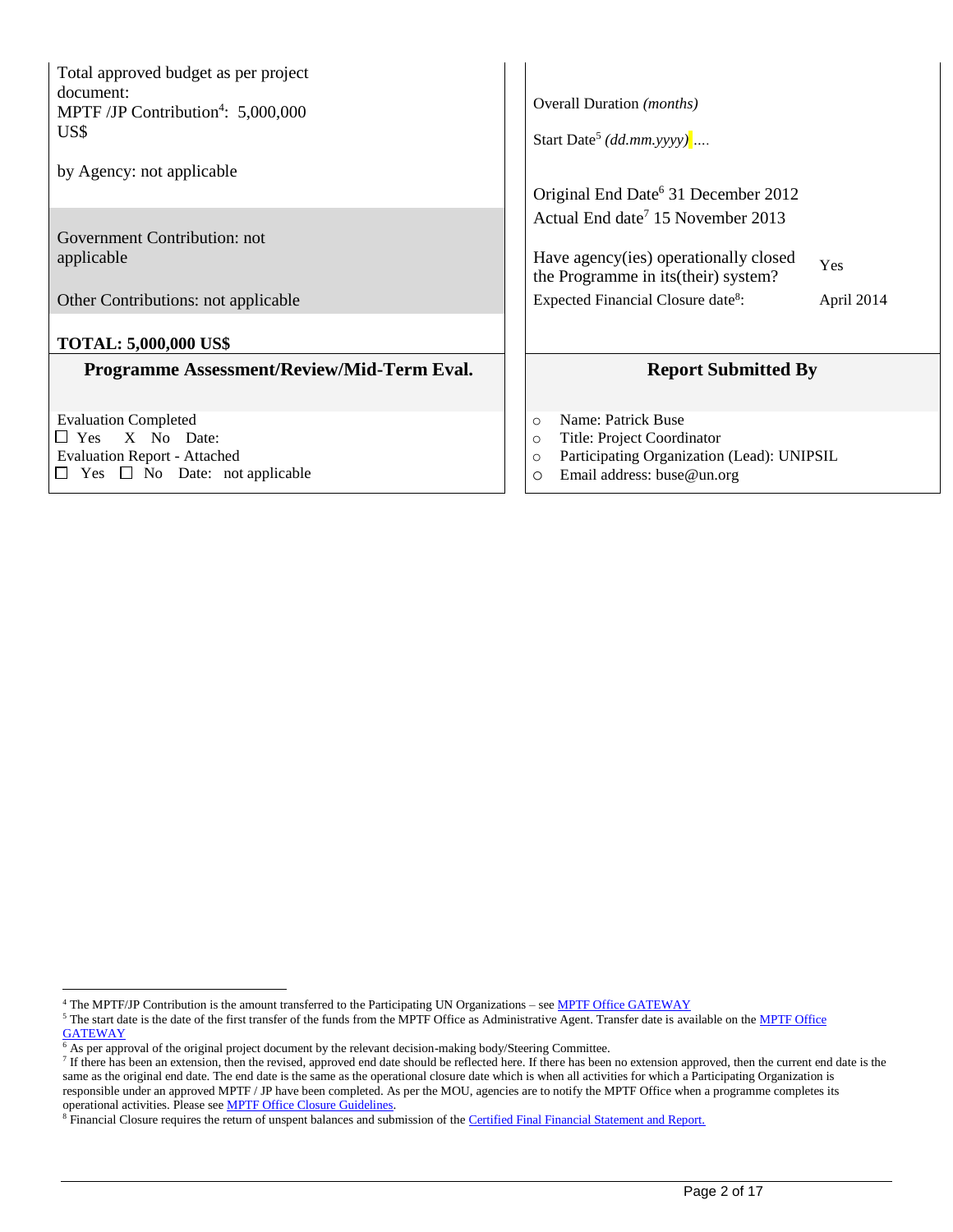Total approved budget as per project document: MPTF /JP Contribution<sup>4</sup>: 5,000,000 US\$

by Agency: not applicable

Government Contribution: not applicable

Other Contributions: not applicable

#### **TOTAL: 5,000,000 US\$**

#### **Programme Assessment/Review/Mid-Term Eval.**

Evaluation Completed Yes X No Date: Evaluation Report - Attached  $\Box$  Yes  $\Box$  No Date: not applicable

| Start Date <sup>5</sup> (dd.mm.yyyy)                                          |                            |
|-------------------------------------------------------------------------------|----------------------------|
| Original End Date <sup>6</sup> 31 December 2012                               |                            |
| Actual End date <sup>7</sup> 15 November 2013                                 |                            |
| Have agency(ies) operationally closed<br>the Programme in its (their) system? | Yes                        |
| Expected Financial Closure date <sup>8</sup> :                                | April 2014                 |
|                                                                               | <b>Report Submitted By</b> |

o Name: Patrick Buse

Ì

- o Title: Project Coordinator
- o Participating Organization (Lead): UNIPSIL
- o Email address: buse@un.org

 $\overline{a}$ 

<sup>&</sup>lt;sup>4</sup> The MPTF/JP Contribution is the amount transferred to the Participating UN Organizations – se[e MPTF Office GATEWAY](http://mdtf.undp.org/)

<sup>&</sup>lt;sup>5</sup> The start date is the date of the first transfer of the funds from th[e MPTF Office](http://mdtf.undp.org/) as Administrative Agent. Transfer date is available on the MPTF Office

**[GATEWAY](http://mdtf.undp.org/)** 

<sup>&</sup>lt;sup>6</sup> As per approval of the original project document by the relevant decision-making body/Steering Committee.

 $<sup>7</sup>$  If there has been an extension, then the revised, approved end date should be reflected here. If there has been no extension approved, then the current end date is the</sup> same as the original end date. The end date is the same as the operational closure date which is when all activities for which a Participating Organization is responsible under an approved MPTF / JP have been completed. As per the MOU, agencies are to notify the MPTF Office when a programme completes its operational activities. Please see **MPTF Office Closure Guidelines**.

<sup>&</sup>lt;sup>8</sup> Financial Closure requires the return of unspent balances and submission of th[e Certified Final Financial Statement and Report.](http://mdtf.undp.org/document/download/5388)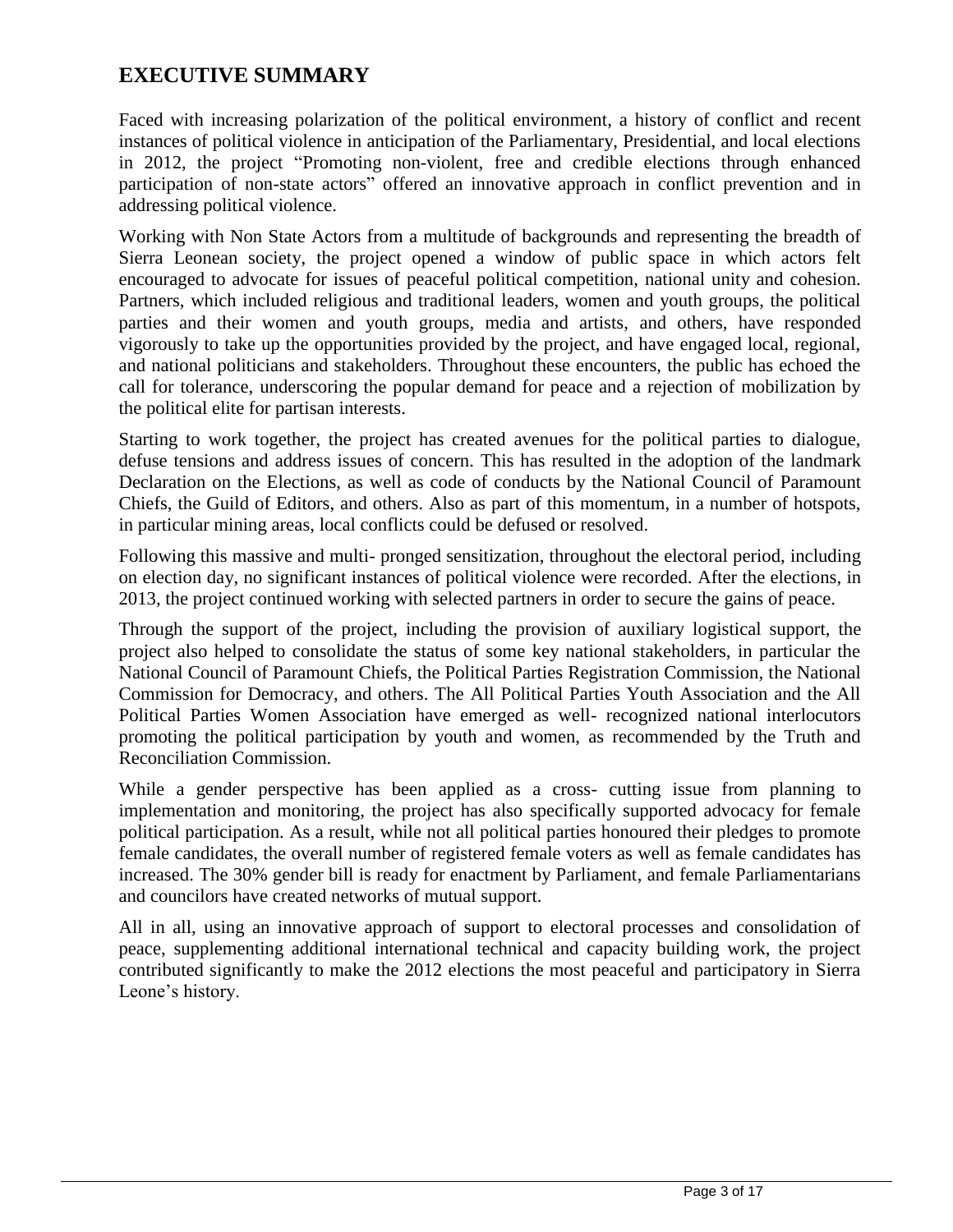# **EXECUTIVE SUMMARY**

Faced with increasing polarization of the political environment, a history of conflict and recent instances of political violence in anticipation of the Parliamentary, Presidential, and local elections in 2012, the project "Promoting non-violent, free and credible elections through enhanced participation of non-state actors" offered an innovative approach in conflict prevention and in addressing political violence.

Working with Non State Actors from a multitude of backgrounds and representing the breadth of Sierra Leonean society, the project opened a window of public space in which actors felt encouraged to advocate for issues of peaceful political competition, national unity and cohesion. Partners, which included religious and traditional leaders, women and youth groups, the political parties and their women and youth groups, media and artists, and others, have responded vigorously to take up the opportunities provided by the project, and have engaged local, regional, and national politicians and stakeholders. Throughout these encounters, the public has echoed the call for tolerance, underscoring the popular demand for peace and a rejection of mobilization by the political elite for partisan interests.

Starting to work together, the project has created avenues for the political parties to dialogue, defuse tensions and address issues of concern. This has resulted in the adoption of the landmark Declaration on the Elections, as well as code of conducts by the National Council of Paramount Chiefs, the Guild of Editors, and others. Also as part of this momentum, in a number of hotspots, in particular mining areas, local conflicts could be defused or resolved.

Following this massive and multi- pronged sensitization, throughout the electoral period, including on election day, no significant instances of political violence were recorded. After the elections, in 2013, the project continued working with selected partners in order to secure the gains of peace.

Through the support of the project, including the provision of auxiliary logistical support, the project also helped to consolidate the status of some key national stakeholders, in particular the National Council of Paramount Chiefs, the Political Parties Registration Commission, the National Commission for Democracy, and others. The All Political Parties Youth Association and the All Political Parties Women Association have emerged as well- recognized national interlocutors promoting the political participation by youth and women, as recommended by the Truth and Reconciliation Commission.

While a gender perspective has been applied as a cross- cutting issue from planning to implementation and monitoring, the project has also specifically supported advocacy for female political participation. As a result, while not all political parties honoured their pledges to promote female candidates, the overall number of registered female voters as well as female candidates has increased. The 30% gender bill is ready for enactment by Parliament, and female Parliamentarians and councilors have created networks of mutual support.

All in all, using an innovative approach of support to electoral processes and consolidation of peace, supplementing additional international technical and capacity building work, the project contributed significantly to make the 2012 elections the most peaceful and participatory in Sierra Leone's history.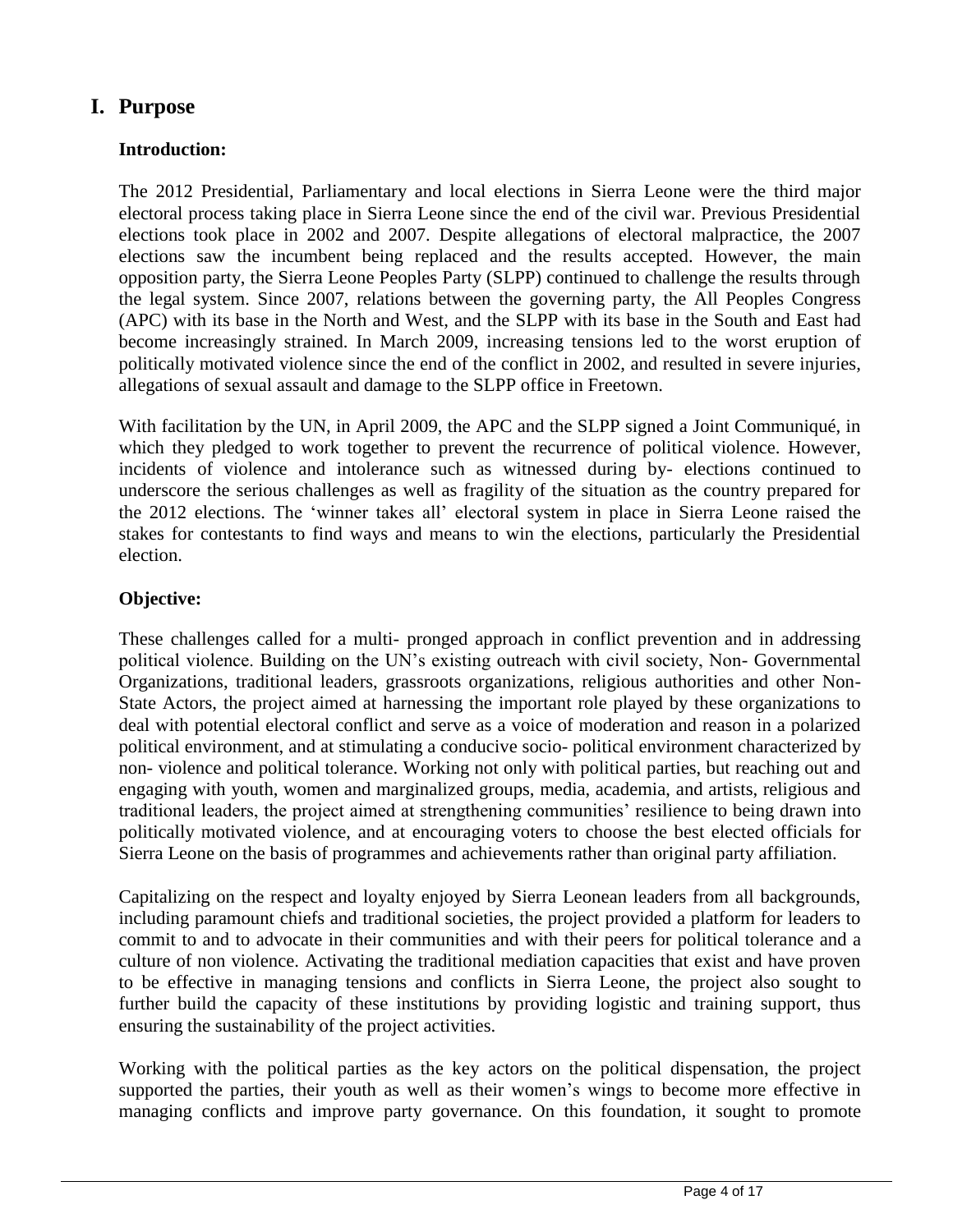# **I. Purpose**

## **Introduction:**

The 2012 Presidential, Parliamentary and local elections in Sierra Leone were the third major electoral process taking place in Sierra Leone since the end of the civil war. Previous Presidential elections took place in 2002 and 2007. Despite allegations of electoral malpractice, the 2007 elections saw the incumbent being replaced and the results accepted. However, the main opposition party, the Sierra Leone Peoples Party (SLPP) continued to challenge the results through the legal system. Since 2007, relations between the governing party, the All Peoples Congress (APC) with its base in the North and West, and the SLPP with its base in the South and East had become increasingly strained. In March 2009, increasing tensions led to the worst eruption of politically motivated violence since the end of the conflict in 2002, and resulted in severe injuries, allegations of sexual assault and damage to the SLPP office in Freetown.

With facilitation by the UN, in April 2009, the APC and the SLPP signed a Joint Communiqué, in which they pledged to work together to prevent the recurrence of political violence. However, incidents of violence and intolerance such as witnessed during by- elections continued to underscore the serious challenges as well as fragility of the situation as the country prepared for the 2012 elections. The 'winner takes all' electoral system in place in Sierra Leone raised the stakes for contestants to find ways and means to win the elections, particularly the Presidential election.

## **Objective:**

These challenges called for a multi- pronged approach in conflict prevention and in addressing political violence. Building on the UN's existing outreach with civil society, Non- Governmental Organizations, traditional leaders, grassroots organizations, religious authorities and other Non-State Actors, the project aimed at harnessing the important role played by these organizations to deal with potential electoral conflict and serve as a voice of moderation and reason in a polarized political environment, and at stimulating a conducive socio- political environment characterized by non- violence and political tolerance. Working not only with political parties, but reaching out and engaging with youth, women and marginalized groups, media, academia, and artists, religious and traditional leaders, the project aimed at strengthening communities' resilience to being drawn into politically motivated violence, and at encouraging voters to choose the best elected officials for Sierra Leone on the basis of programmes and achievements rather than original party affiliation.

Capitalizing on the respect and loyalty enjoyed by Sierra Leonean leaders from all backgrounds, including paramount chiefs and traditional societies, the project provided a platform for leaders to commit to and to advocate in their communities and with their peers for political tolerance and a culture of non violence. Activating the traditional mediation capacities that exist and have proven to be effective in managing tensions and conflicts in Sierra Leone, the project also sought to further build the capacity of these institutions by providing logistic and training support, thus ensuring the sustainability of the project activities.

Working with the political parties as the key actors on the political dispensation, the project supported the parties, their youth as well as their women's wings to become more effective in managing conflicts and improve party governance. On this foundation, it sought to promote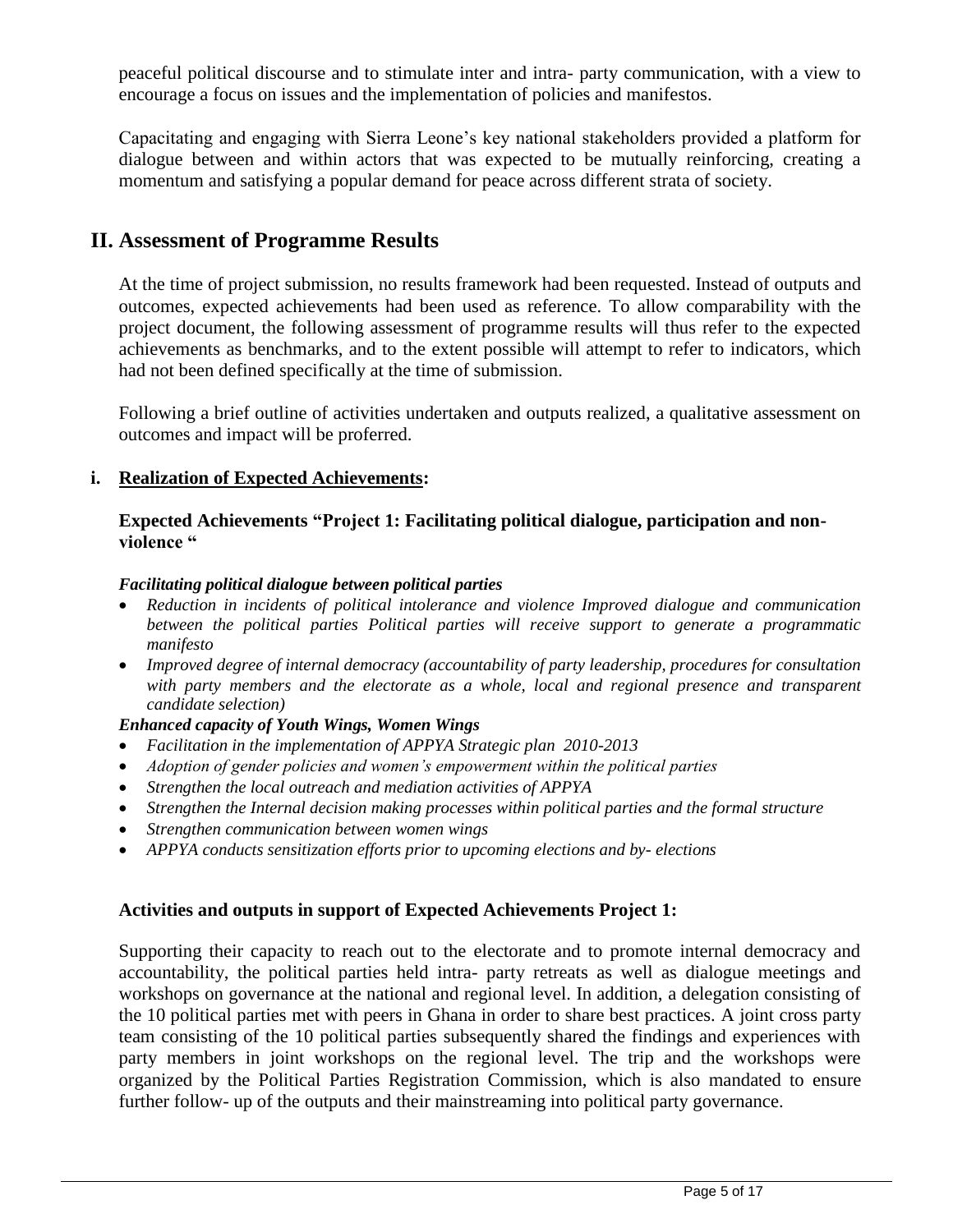peaceful political discourse and to stimulate inter and intra- party communication, with a view to encourage a focus on issues and the implementation of policies and manifestos.

Capacitating and engaging with Sierra Leone's key national stakeholders provided a platform for dialogue between and within actors that was expected to be mutually reinforcing, creating a momentum and satisfying a popular demand for peace across different strata of society.

## **II. Assessment of Programme Results**

At the time of project submission, no results framework had been requested. Instead of outputs and outcomes, expected achievements had been used as reference. To allow comparability with the project document, the following assessment of programme results will thus refer to the expected achievements as benchmarks, and to the extent possible will attempt to refer to indicators, which had not been defined specifically at the time of submission.

Following a brief outline of activities undertaken and outputs realized, a qualitative assessment on outcomes and impact will be proferred.

#### **i. Realization of Expected Achievements:**

#### **Expected Achievements "Project 1: Facilitating political dialogue, participation and nonviolence "**

#### *Facilitating political dialogue between political parties*

- *Reduction in incidents of political intolerance and violence Improved dialogue and communication between the political parties Political parties will receive support to generate a programmatic manifesto*
- *Improved degree of internal democracy (accountability of party leadership, procedures for consultation with party members and the electorate as a whole, local and regional presence and transparent candidate selection)*

#### *Enhanced capacity of Youth Wings, Women Wings*

- *Facilitation in the implementation of APPYA Strategic plan 2010-2013*
- *Adoption of gender policies and women's empowerment within the political parties*
- *Strengthen the local outreach and mediation activities of APPYA*
- *Strengthen the Internal decision making processes within political parties and the formal structure*
- *Strengthen communication between women wings*
- *APPYA conducts sensitization efforts prior to upcoming elections and by- elections*

#### **Activities and outputs in support of Expected Achievements Project 1:**

Supporting their capacity to reach out to the electorate and to promote internal democracy and accountability, the political parties held intra- party retreats as well as dialogue meetings and workshops on governance at the national and regional level. In addition, a delegation consisting of the 10 political parties met with peers in Ghana in order to share best practices. A joint cross party team consisting of the 10 political parties subsequently shared the findings and experiences with party members in joint workshops on the regional level. The trip and the workshops were organized by the Political Parties Registration Commission, which is also mandated to ensure further follow- up of the outputs and their mainstreaming into political party governance.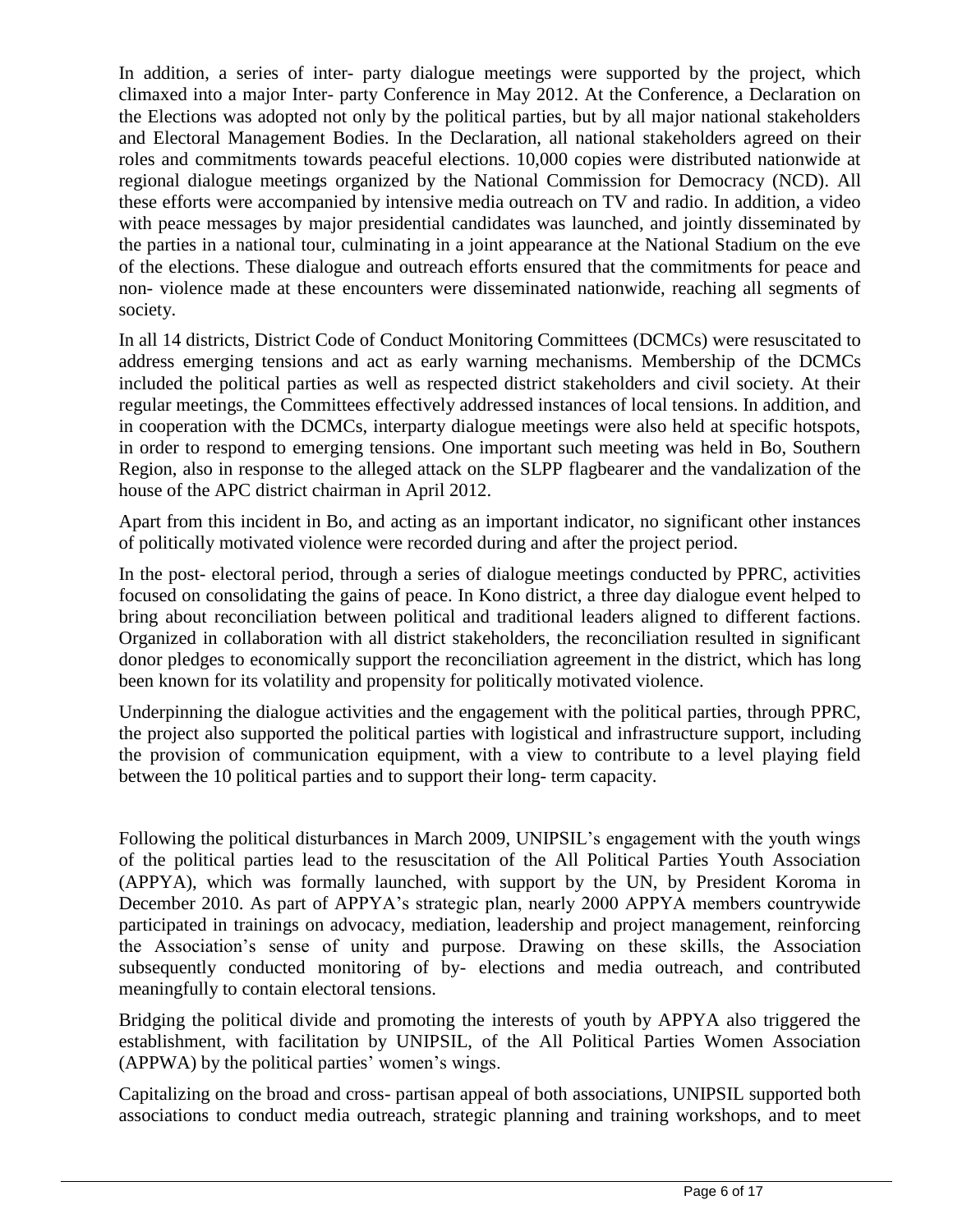In addition, a series of inter- party dialogue meetings were supported by the project, which climaxed into a major Inter- party Conference in May 2012. At the Conference, a Declaration on the Elections was adopted not only by the political parties, but by all major national stakeholders and Electoral Management Bodies. In the Declaration, all national stakeholders agreed on their roles and commitments towards peaceful elections. 10,000 copies were distributed nationwide at regional dialogue meetings organized by the National Commission for Democracy (NCD). All these efforts were accompanied by intensive media outreach on TV and radio. In addition, a video with peace messages by major presidential candidates was launched, and jointly disseminated by the parties in a national tour, culminating in a joint appearance at the National Stadium on the eve of the elections. These dialogue and outreach efforts ensured that the commitments for peace and non- violence made at these encounters were disseminated nationwide, reaching all segments of society.

In all 14 districts, District Code of Conduct Monitoring Committees (DCMCs) were resuscitated to address emerging tensions and act as early warning mechanisms. Membership of the DCMCs included the political parties as well as respected district stakeholders and civil society. At their regular meetings, the Committees effectively addressed instances of local tensions. In addition, and in cooperation with the DCMCs, interparty dialogue meetings were also held at specific hotspots, in order to respond to emerging tensions. One important such meeting was held in Bo, Southern Region, also in response to the alleged attack on the SLPP flagbearer and the vandalization of the house of the APC district chairman in April 2012.

Apart from this incident in Bo, and acting as an important indicator, no significant other instances of politically motivated violence were recorded during and after the project period.

In the post- electoral period, through a series of dialogue meetings conducted by PPRC, activities focused on consolidating the gains of peace. In Kono district, a three day dialogue event helped to bring about reconciliation between political and traditional leaders aligned to different factions. Organized in collaboration with all district stakeholders, the reconciliation resulted in significant donor pledges to economically support the reconciliation agreement in the district, which has long been known for its volatility and propensity for politically motivated violence.

Underpinning the dialogue activities and the engagement with the political parties, through PPRC, the project also supported the political parties with logistical and infrastructure support, including the provision of communication equipment, with a view to contribute to a level playing field between the 10 political parties and to support their long- term capacity.

Following the political disturbances in March 2009, UNIPSIL's engagement with the youth wings of the political parties lead to the resuscitation of the All Political Parties Youth Association (APPYA), which was formally launched, with support by the UN, by President Koroma in December 2010. As part of APPYA's strategic plan, nearly 2000 APPYA members countrywide participated in trainings on advocacy, mediation, leadership and project management, reinforcing the Association's sense of unity and purpose. Drawing on these skills, the Association subsequently conducted monitoring of by- elections and media outreach, and contributed meaningfully to contain electoral tensions.

Bridging the political divide and promoting the interests of youth by APPYA also triggered the establishment, with facilitation by UNIPSIL, of the All Political Parties Women Association (APPWA) by the political parties' women's wings.

Capitalizing on the broad and cross- partisan appeal of both associations, UNIPSIL supported both associations to conduct media outreach, strategic planning and training workshops, and to meet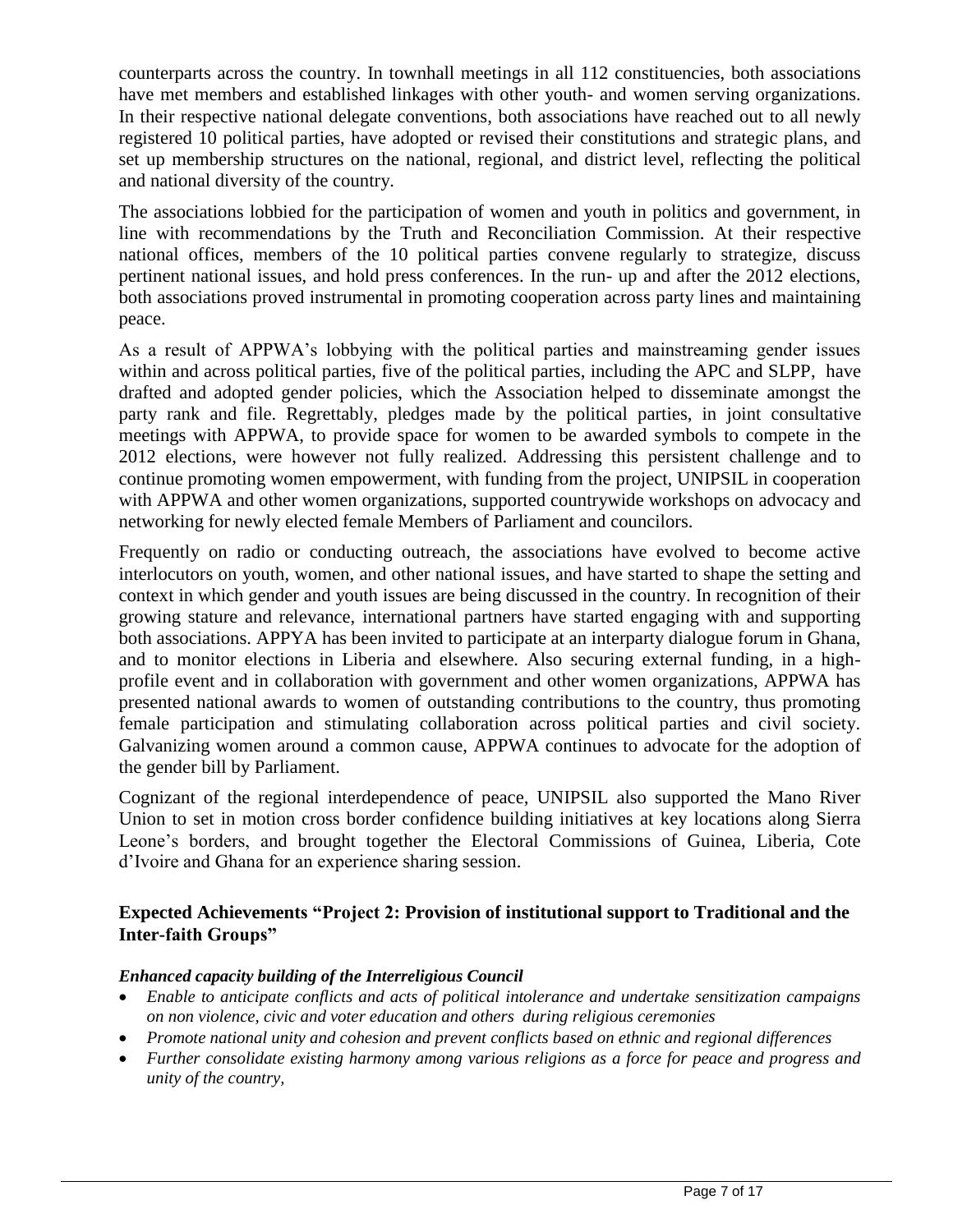counterparts across the country. In townhall meetings in all 112 constituencies, both associations have met members and established linkages with other youth- and women serving organizations. In their respective national delegate conventions, both associations have reached out to all newly registered 10 political parties, have adopted or revised their constitutions and strategic plans, and set up membership structures on the national, regional, and district level, reflecting the political and national diversity of the country.

The associations lobbied for the participation of women and youth in politics and government, in line with recommendations by the Truth and Reconciliation Commission. At their respective national offices, members of the 10 political parties convene regularly to strategize, discuss pertinent national issues, and hold press conferences. In the run- up and after the 2012 elections, both associations proved instrumental in promoting cooperation across party lines and maintaining peace.

As a result of APPWA's lobbying with the political parties and mainstreaming gender issues within and across political parties, five of the political parties, including the APC and SLPP, have drafted and adopted gender policies, which the Association helped to disseminate amongst the party rank and file. Regrettably, pledges made by the political parties, in joint consultative meetings with APPWA, to provide space for women to be awarded symbols to compete in the 2012 elections, were however not fully realized. Addressing this persistent challenge and to continue promoting women empowerment, with funding from the project, UNIPSIL in cooperation with APPWA and other women organizations, supported countrywide workshops on advocacy and networking for newly elected female Members of Parliament and councilors.

Frequently on radio or conducting outreach, the associations have evolved to become active interlocutors on youth, women, and other national issues, and have started to shape the setting and context in which gender and youth issues are being discussed in the country. In recognition of their growing stature and relevance, international partners have started engaging with and supporting both associations. APPYA has been invited to participate at an interparty dialogue forum in Ghana, and to monitor elections in Liberia and elsewhere. Also securing external funding, in a highprofile event and in collaboration with government and other women organizations, APPWA has presented national awards to women of outstanding contributions to the country, thus promoting female participation and stimulating collaboration across political parties and civil society. Galvanizing women around a common cause, APPWA continues to advocate for the adoption of the gender bill by Parliament.

Cognizant of the regional interdependence of peace, UNIPSIL also supported the Mano River Union to set in motion cross border confidence building initiatives at key locations along Sierra Leone's borders, and brought together the Electoral Commissions of Guinea, Liberia, Cote d'Ivoire and Ghana for an experience sharing session.

#### **Expected Achievements "Project 2: Provision of institutional support to Traditional and the Inter-faith Groups"**

#### *Enhanced capacity building of the Interreligious Council*

- *Enable to anticipate conflicts and acts of political intolerance and undertake sensitization campaigns on non violence, civic and voter education and others during religious ceremonies*
- *Promote national unity and cohesion and prevent conflicts based on ethnic and regional differences*
- *Further consolidate existing harmony among various religions as a force for peace and progress and unity of the country,*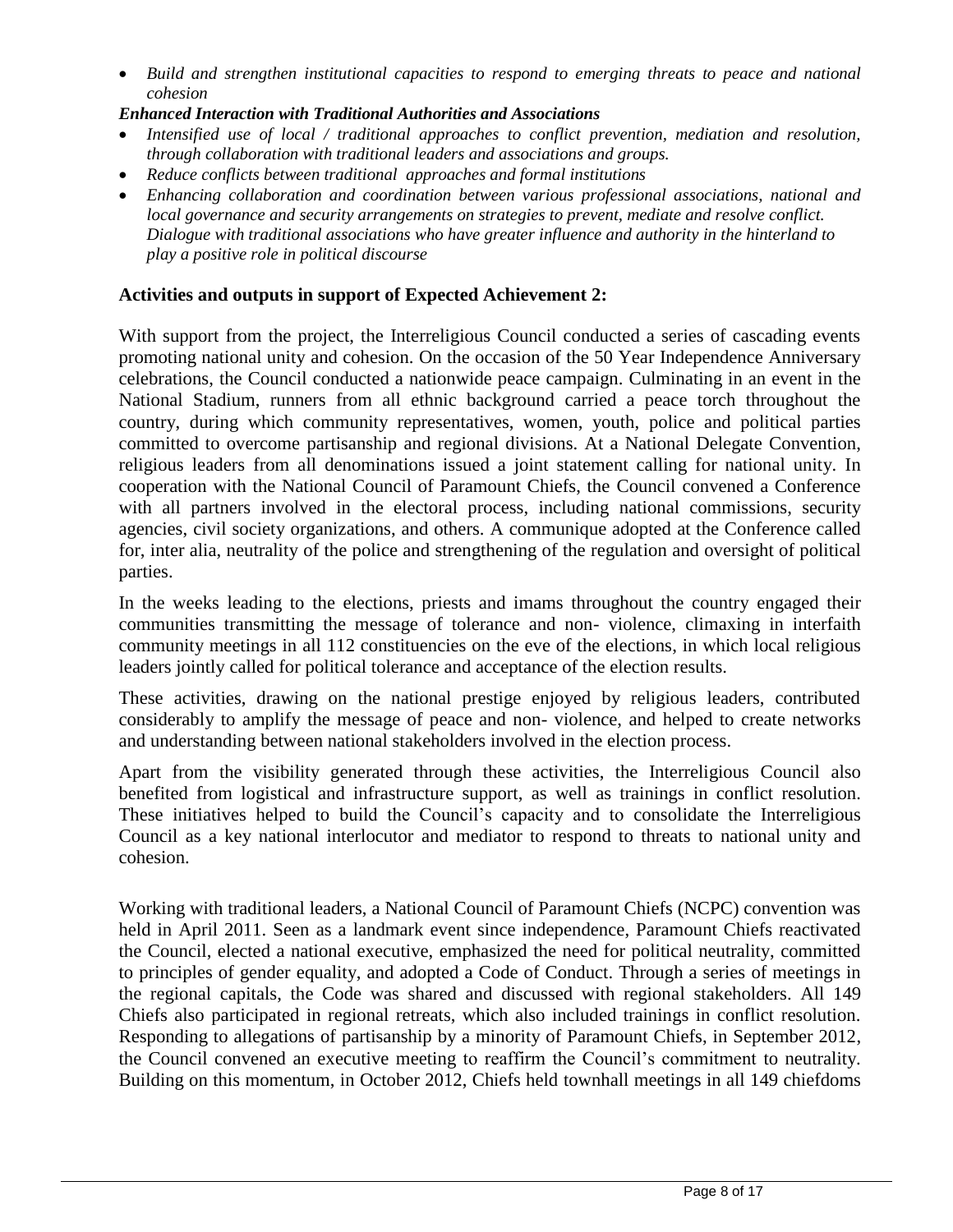*Build and strengthen institutional capacities to respond to emerging threats to peace and national cohesion* 

#### *Enhanced Interaction with Traditional Authorities and Associations*

- *Intensified use of local / traditional approaches to conflict prevention, mediation and resolution, through collaboration with traditional leaders and associations and groups.*
- *Reduce conflicts between traditional approaches and formal institutions*
- *Enhancing collaboration and coordination between various professional associations, national and local governance and security arrangements on strategies to prevent, mediate and resolve conflict. Dialogue with traditional associations who have greater influence and authority in the hinterland to play a positive role in political discourse*

#### **Activities and outputs in support of Expected Achievement 2:**

With support from the project, the Interreligious Council conducted a series of cascading events promoting national unity and cohesion. On the occasion of the 50 Year Independence Anniversary celebrations, the Council conducted a nationwide peace campaign. Culminating in an event in the National Stadium, runners from all ethnic background carried a peace torch throughout the country, during which community representatives, women, youth, police and political parties committed to overcome partisanship and regional divisions. At a National Delegate Convention, religious leaders from all denominations issued a joint statement calling for national unity. In cooperation with the National Council of Paramount Chiefs, the Council convened a Conference with all partners involved in the electoral process, including national commissions, security agencies, civil society organizations, and others. A communique adopted at the Conference called for, inter alia, neutrality of the police and strengthening of the regulation and oversight of political parties.

In the weeks leading to the elections, priests and imams throughout the country engaged their communities transmitting the message of tolerance and non- violence, climaxing in interfaith community meetings in all 112 constituencies on the eve of the elections, in which local religious leaders jointly called for political tolerance and acceptance of the election results.

These activities, drawing on the national prestige enjoyed by religious leaders, contributed considerably to amplify the message of peace and non- violence, and helped to create networks and understanding between national stakeholders involved in the election process.

Apart from the visibility generated through these activities, the Interreligious Council also benefited from logistical and infrastructure support, as well as trainings in conflict resolution. These initiatives helped to build the Council's capacity and to consolidate the Interreligious Council as a key national interlocutor and mediator to respond to threats to national unity and cohesion.

Working with traditional leaders, a National Council of Paramount Chiefs (NCPC) convention was held in April 2011. Seen as a landmark event since independence, Paramount Chiefs reactivated the Council, elected a national executive, emphasized the need for political neutrality, committed to principles of gender equality, and adopted a Code of Conduct. Through a series of meetings in the regional capitals, the Code was shared and discussed with regional stakeholders. All 149 Chiefs also participated in regional retreats, which also included trainings in conflict resolution. Responding to allegations of partisanship by a minority of Paramount Chiefs, in September 2012, the Council convened an executive meeting to reaffirm the Council's commitment to neutrality. Building on this momentum, in October 2012, Chiefs held townhall meetings in all 149 chiefdoms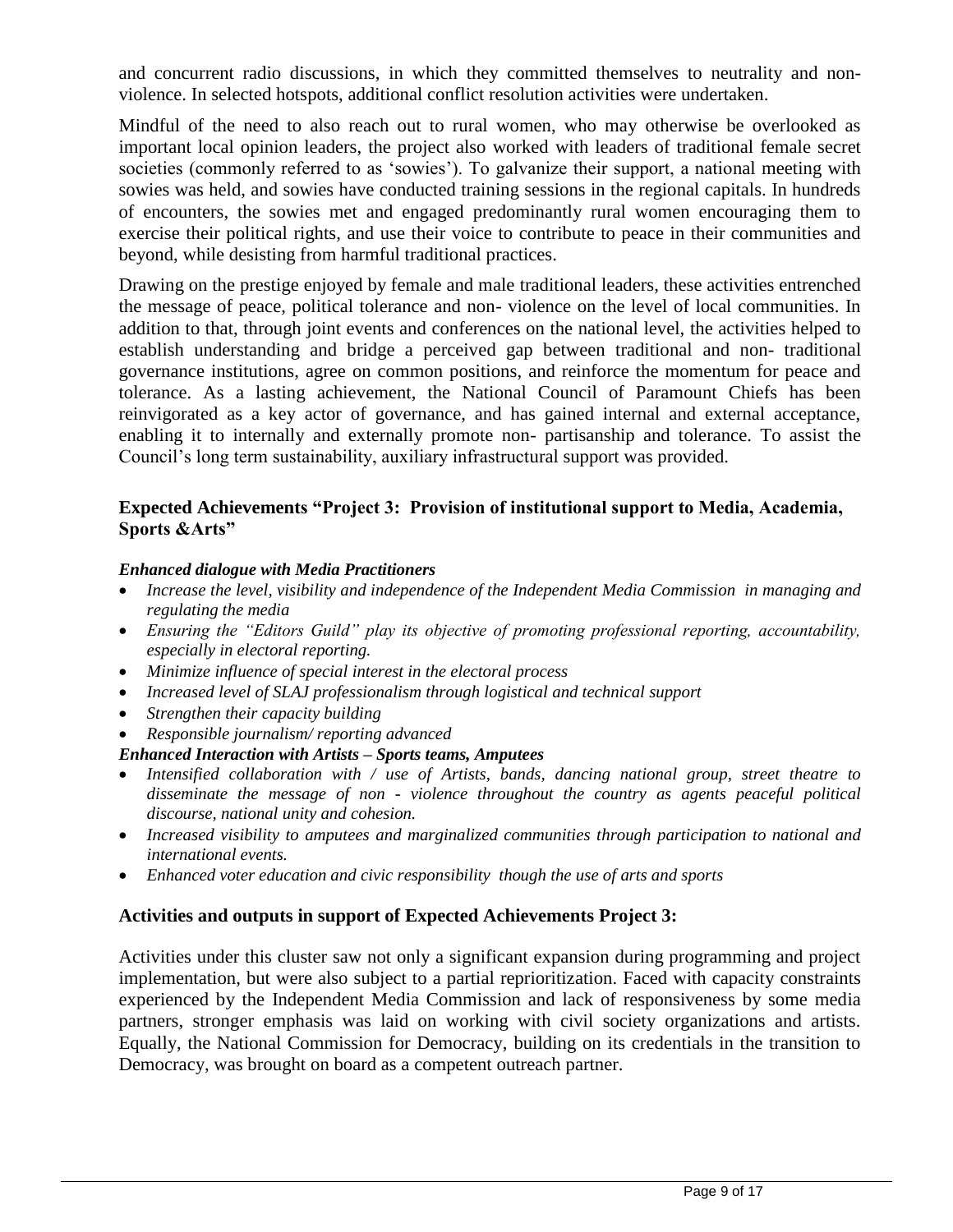and concurrent radio discussions, in which they committed themselves to neutrality and nonviolence. In selected hotspots, additional conflict resolution activities were undertaken.

Mindful of the need to also reach out to rural women, who may otherwise be overlooked as important local opinion leaders, the project also worked with leaders of traditional female secret societies (commonly referred to as 'sowies'). To galvanize their support, a national meeting with sowies was held, and sowies have conducted training sessions in the regional capitals. In hundreds of encounters, the sowies met and engaged predominantly rural women encouraging them to exercise their political rights, and use their voice to contribute to peace in their communities and beyond, while desisting from harmful traditional practices.

Drawing on the prestige enjoyed by female and male traditional leaders, these activities entrenched the message of peace, political tolerance and non- violence on the level of local communities. In addition to that, through joint events and conferences on the national level, the activities helped to establish understanding and bridge a perceived gap between traditional and non- traditional governance institutions, agree on common positions, and reinforce the momentum for peace and tolerance. As a lasting achievement, the National Council of Paramount Chiefs has been reinvigorated as a key actor of governance, and has gained internal and external acceptance, enabling it to internally and externally promote non- partisanship and tolerance. To assist the Council's long term sustainability, auxiliary infrastructural support was provided.

#### **Expected Achievements "Project 3: Provision of institutional support to Media, Academia, Sports &Arts"**

#### *Enhanced dialogue with Media Practitioners*

- *Increase the level, visibility and independence of the Independent Media Commission in managing and regulating the media*
- *Ensuring the "Editors Guild" play its objective of promoting professional reporting, accountability, especially in electoral reporting.*
- *Minimize influence of special interest in the electoral process*
- *Increased level of SLAJ professionalism through logistical and technical support*
- *Strengthen their capacity building*
- *Responsible journalism/ reporting advanced*

#### *Enhanced Interaction with Artists – Sports teams, Amputees*

- *Intensified collaboration with / use of Artists, bands, dancing national group, street theatre to disseminate the message of non - violence throughout the country as agents peaceful political discourse, national unity and cohesion.*
- *Increased visibility to amputees and marginalized communities through participation to national and international events.*
- *Enhanced voter education and civic responsibility though the use of arts and sports*

#### **Activities and outputs in support of Expected Achievements Project 3:**

Activities under this cluster saw not only a significant expansion during programming and project implementation, but were also subject to a partial reprioritization. Faced with capacity constraints experienced by the Independent Media Commission and lack of responsiveness by some media partners, stronger emphasis was laid on working with civil society organizations and artists. Equally, the National Commission for Democracy, building on its credentials in the transition to Democracy, was brought on board as a competent outreach partner.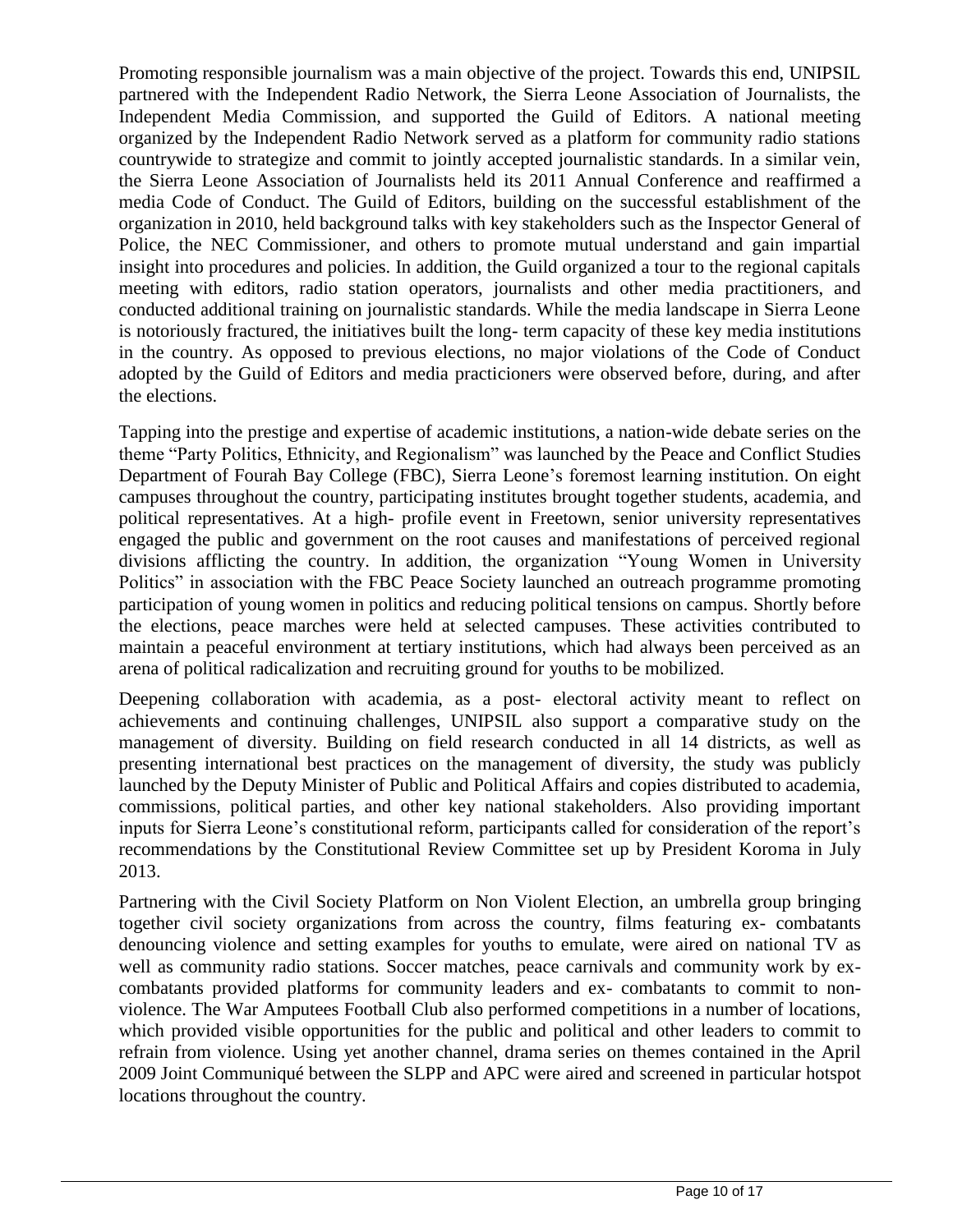Promoting responsible journalism was a main objective of the project. Towards this end, UNIPSIL partnered with the Independent Radio Network, the Sierra Leone Association of Journalists, the Independent Media Commission, and supported the Guild of Editors. A national meeting organized by the Independent Radio Network served as a platform for community radio stations countrywide to strategize and commit to jointly accepted journalistic standards. In a similar vein, the Sierra Leone Association of Journalists held its 2011 Annual Conference and reaffirmed a media Code of Conduct. The Guild of Editors, building on the successful establishment of the organization in 2010, held background talks with key stakeholders such as the Inspector General of Police, the NEC Commissioner, and others to promote mutual understand and gain impartial insight into procedures and policies. In addition, the Guild organized a tour to the regional capitals meeting with editors, radio station operators, journalists and other media practitioners, and conducted additional training on journalistic standards. While the media landscape in Sierra Leone is notoriously fractured, the initiatives built the long- term capacity of these key media institutions in the country. As opposed to previous elections, no major violations of the Code of Conduct adopted by the Guild of Editors and media practicioners were observed before, during, and after the elections.

Tapping into the prestige and expertise of academic institutions, a nation-wide debate series on the theme "Party Politics, Ethnicity, and Regionalism" was launched by the Peace and Conflict Studies Department of Fourah Bay College (FBC), Sierra Leone's foremost learning institution. On eight campuses throughout the country, participating institutes brought together students, academia, and political representatives. At a high- profile event in Freetown, senior university representatives engaged the public and government on the root causes and manifestations of perceived regional divisions afflicting the country. In addition, the organization "Young Women in University Politics" in association with the FBC Peace Society launched an outreach programme promoting participation of young women in politics and reducing political tensions on campus. Shortly before the elections, peace marches were held at selected campuses. These activities contributed to maintain a peaceful environment at tertiary institutions, which had always been perceived as an arena of political radicalization and recruiting ground for youths to be mobilized.

Deepening collaboration with academia, as a post- electoral activity meant to reflect on achievements and continuing challenges, UNIPSIL also support a comparative study on the management of diversity. Building on field research conducted in all 14 districts, as well as presenting international best practices on the management of diversity, the study was publicly launched by the Deputy Minister of Public and Political Affairs and copies distributed to academia, commissions, political parties, and other key national stakeholders. Also providing important inputs for Sierra Leone's constitutional reform, participants called for consideration of the report's recommendations by the Constitutional Review Committee set up by President Koroma in July 2013.

Partnering with the Civil Society Platform on Non Violent Election, an umbrella group bringing together civil society organizations from across the country, films featuring ex- combatants denouncing violence and setting examples for youths to emulate, were aired on national TV as well as community radio stations. Soccer matches, peace carnivals and community work by excombatants provided platforms for community leaders and ex- combatants to commit to nonviolence. The War Amputees Football Club also performed competitions in a number of locations, which provided visible opportunities for the public and political and other leaders to commit to refrain from violence. Using yet another channel, drama series on themes contained in the April 2009 Joint Communiqué between the SLPP and APC were aired and screened in particular hotspot locations throughout the country.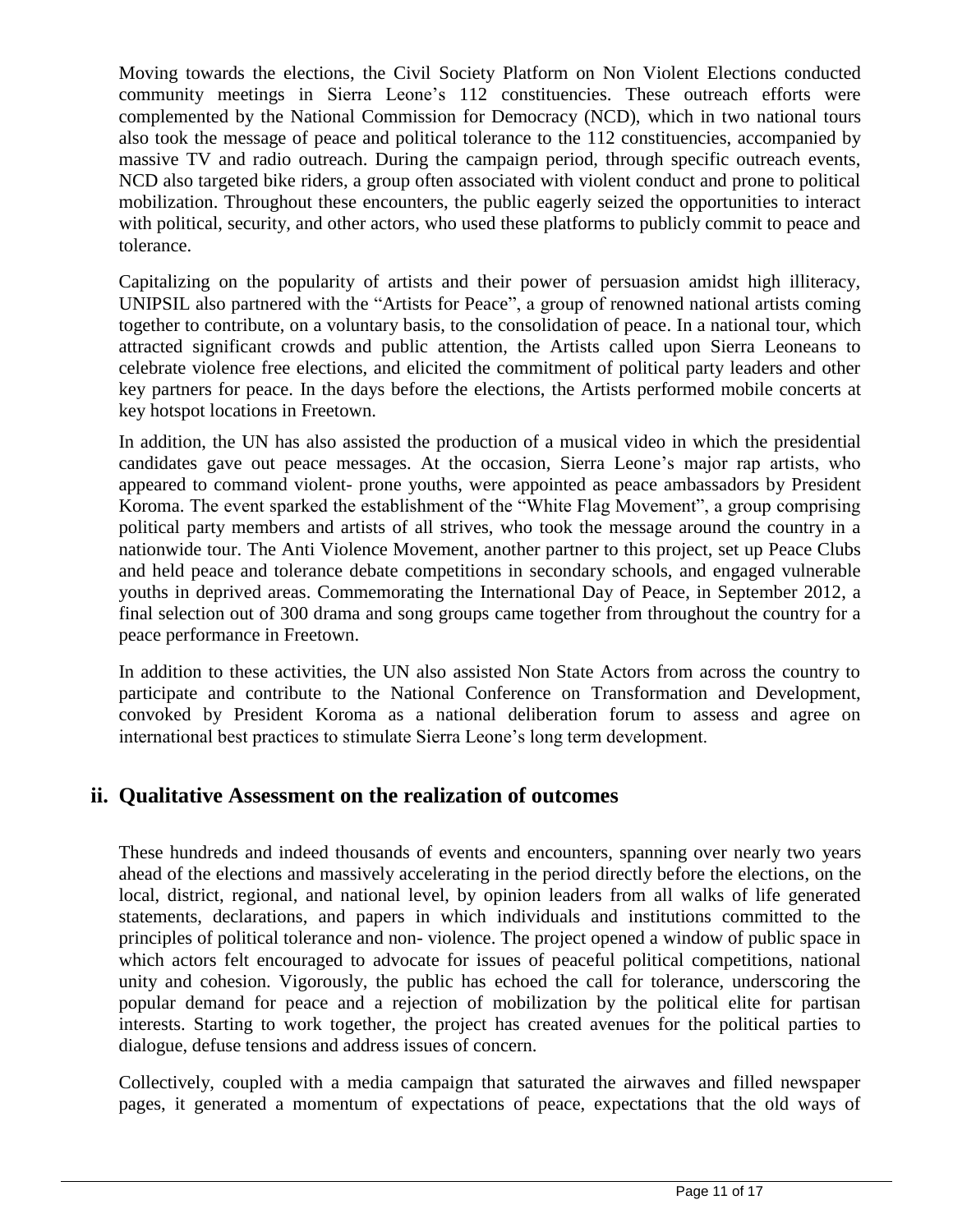Moving towards the elections, the Civil Society Platform on Non Violent Elections conducted community meetings in Sierra Leone's 112 constituencies. These outreach efforts were complemented by the National Commission for Democracy (NCD), which in two national tours also took the message of peace and political tolerance to the 112 constituencies, accompanied by massive TV and radio outreach. During the campaign period, through specific outreach events, NCD also targeted bike riders, a group often associated with violent conduct and prone to political mobilization. Throughout these encounters, the public eagerly seized the opportunities to interact with political, security, and other actors, who used these platforms to publicly commit to peace and tolerance.

Capitalizing on the popularity of artists and their power of persuasion amidst high illiteracy, UNIPSIL also partnered with the "Artists for Peace", a group of renowned national artists coming together to contribute, on a voluntary basis, to the consolidation of peace. In a national tour, which attracted significant crowds and public attention, the Artists called upon Sierra Leoneans to celebrate violence free elections, and elicited the commitment of political party leaders and other key partners for peace. In the days before the elections, the Artists performed mobile concerts at key hotspot locations in Freetown.

In addition, the UN has also assisted the production of a musical video in which the presidential candidates gave out peace messages. At the occasion, Sierra Leone's major rap artists, who appeared to command violent- prone youths, were appointed as peace ambassadors by President Koroma. The event sparked the establishment of the "White Flag Movement", a group comprising political party members and artists of all strives, who took the message around the country in a nationwide tour. The Anti Violence Movement, another partner to this project, set up Peace Clubs and held peace and tolerance debate competitions in secondary schools, and engaged vulnerable youths in deprived areas. Commemorating the International Day of Peace, in September 2012, a final selection out of 300 drama and song groups came together from throughout the country for a peace performance in Freetown.

In addition to these activities, the UN also assisted Non State Actors from across the country to participate and contribute to the National Conference on Transformation and Development, convoked by President Koroma as a national deliberation forum to assess and agree on international best practices to stimulate Sierra Leone's long term development.

## **ii. Qualitative Assessment on the realization of outcomes**

These hundreds and indeed thousands of events and encounters, spanning over nearly two years ahead of the elections and massively accelerating in the period directly before the elections, on the local, district, regional, and national level, by opinion leaders from all walks of life generated statements, declarations, and papers in which individuals and institutions committed to the principles of political tolerance and non- violence. The project opened a window of public space in which actors felt encouraged to advocate for issues of peaceful political competitions, national unity and cohesion. Vigorously, the public has echoed the call for tolerance, underscoring the popular demand for peace and a rejection of mobilization by the political elite for partisan interests. Starting to work together, the project has created avenues for the political parties to dialogue, defuse tensions and address issues of concern.

Collectively, coupled with a media campaign that saturated the airwaves and filled newspaper pages, it generated a momentum of expectations of peace, expectations that the old ways of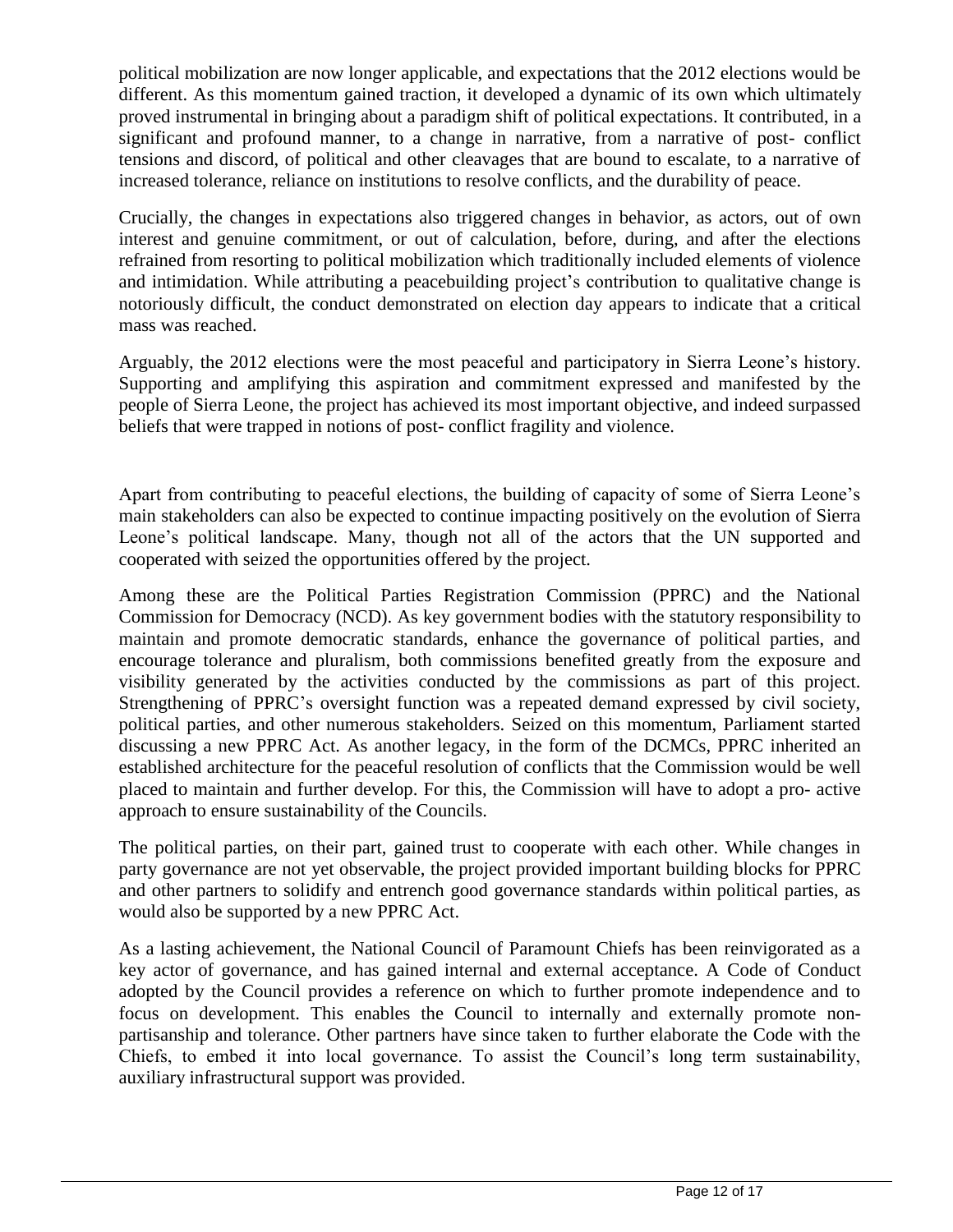political mobilization are now longer applicable, and expectations that the 2012 elections would be different. As this momentum gained traction, it developed a dynamic of its own which ultimately proved instrumental in bringing about a paradigm shift of political expectations. It contributed, in a significant and profound manner, to a change in narrative, from a narrative of post- conflict tensions and discord, of political and other cleavages that are bound to escalate, to a narrative of increased tolerance, reliance on institutions to resolve conflicts, and the durability of peace.

Crucially, the changes in expectations also triggered changes in behavior, as actors, out of own interest and genuine commitment, or out of calculation, before, during, and after the elections refrained from resorting to political mobilization which traditionally included elements of violence and intimidation. While attributing a peacebuilding project's contribution to qualitative change is notoriously difficult, the conduct demonstrated on election day appears to indicate that a critical mass was reached.

Arguably, the 2012 elections were the most peaceful and participatory in Sierra Leone's history. Supporting and amplifying this aspiration and commitment expressed and manifested by the people of Sierra Leone, the project has achieved its most important objective, and indeed surpassed beliefs that were trapped in notions of post- conflict fragility and violence.

Apart from contributing to peaceful elections, the building of capacity of some of Sierra Leone's main stakeholders can also be expected to continue impacting positively on the evolution of Sierra Leone's political landscape. Many, though not all of the actors that the UN supported and cooperated with seized the opportunities offered by the project.

Among these are the Political Parties Registration Commission (PPRC) and the National Commission for Democracy (NCD). As key government bodies with the statutory responsibility to maintain and promote democratic standards, enhance the governance of political parties, and encourage tolerance and pluralism, both commissions benefited greatly from the exposure and visibility generated by the activities conducted by the commissions as part of this project. Strengthening of PPRC's oversight function was a repeated demand expressed by civil society, political parties, and other numerous stakeholders. Seized on this momentum, Parliament started discussing a new PPRC Act. As another legacy, in the form of the DCMCs, PPRC inherited an established architecture for the peaceful resolution of conflicts that the Commission would be well placed to maintain and further develop. For this, the Commission will have to adopt a pro- active approach to ensure sustainability of the Councils.

The political parties, on their part, gained trust to cooperate with each other. While changes in party governance are not yet observable, the project provided important building blocks for PPRC and other partners to solidify and entrench good governance standards within political parties, as would also be supported by a new PPRC Act.

As a lasting achievement, the National Council of Paramount Chiefs has been reinvigorated as a key actor of governance, and has gained internal and external acceptance. A Code of Conduct adopted by the Council provides a reference on which to further promote independence and to focus on development. This enables the Council to internally and externally promote nonpartisanship and tolerance. Other partners have since taken to further elaborate the Code with the Chiefs, to embed it into local governance. To assist the Council's long term sustainability, auxiliary infrastructural support was provided.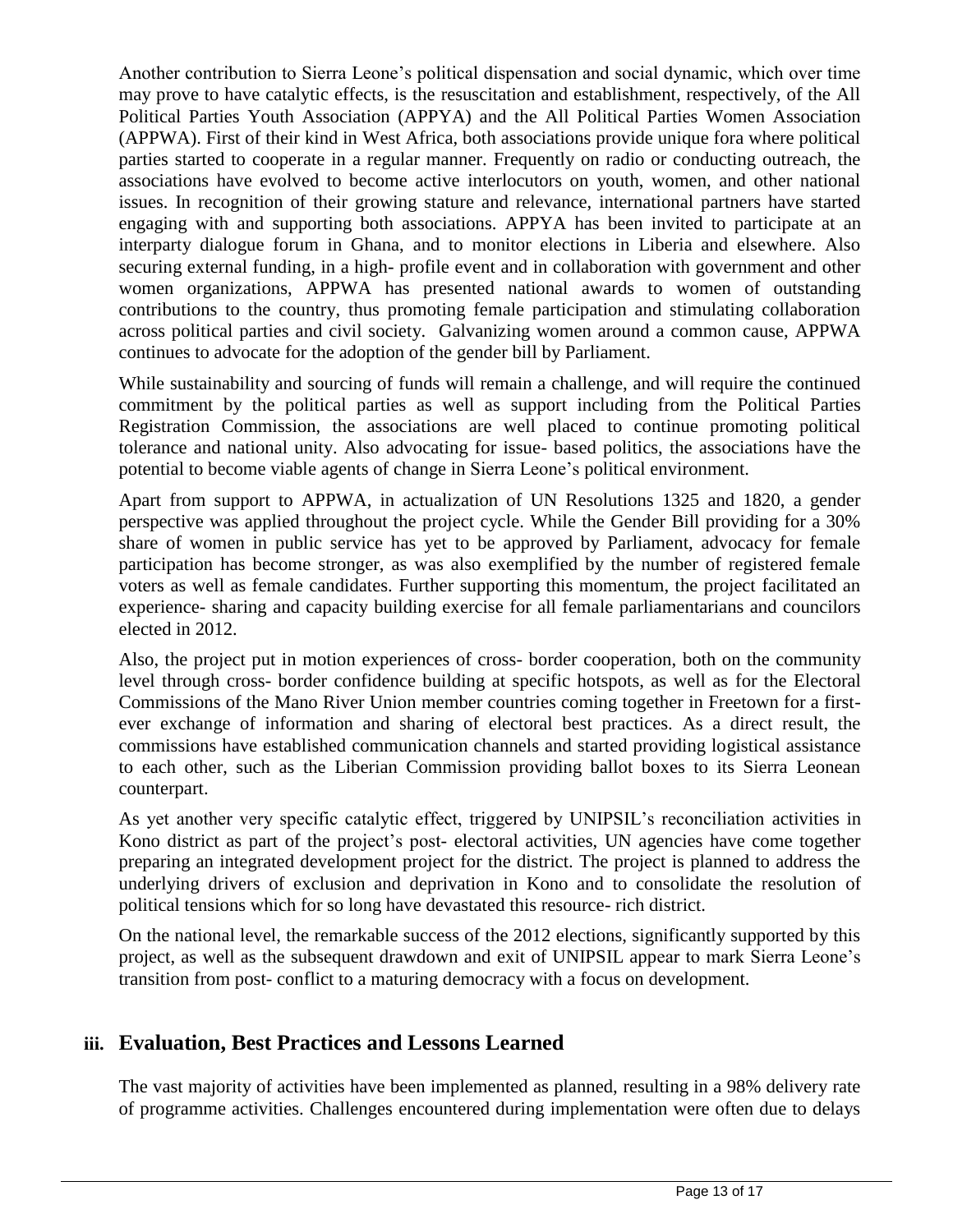Another contribution to Sierra Leone's political dispensation and social dynamic, which over time may prove to have catalytic effects, is the resuscitation and establishment, respectively, of the All Political Parties Youth Association (APPYA) and the All Political Parties Women Association (APPWA). First of their kind in West Africa, both associations provide unique fora where political parties started to cooperate in a regular manner. Frequently on radio or conducting outreach, the associations have evolved to become active interlocutors on youth, women, and other national issues. In recognition of their growing stature and relevance, international partners have started engaging with and supporting both associations. APPYA has been invited to participate at an interparty dialogue forum in Ghana, and to monitor elections in Liberia and elsewhere. Also securing external funding, in a high- profile event and in collaboration with government and other women organizations, APPWA has presented national awards to women of outstanding contributions to the country, thus promoting female participation and stimulating collaboration across political parties and civil society. Galvanizing women around a common cause, APPWA continues to advocate for the adoption of the gender bill by Parliament.

While sustainability and sourcing of funds will remain a challenge, and will require the continued commitment by the political parties as well as support including from the Political Parties Registration Commission, the associations are well placed to continue promoting political tolerance and national unity. Also advocating for issue- based politics, the associations have the potential to become viable agents of change in Sierra Leone's political environment.

Apart from support to APPWA, in actualization of UN Resolutions 1325 and 1820, a gender perspective was applied throughout the project cycle. While the Gender Bill providing for a 30% share of women in public service has yet to be approved by Parliament, advocacy for female participation has become stronger, as was also exemplified by the number of registered female voters as well as female candidates. Further supporting this momentum, the project facilitated an experience- sharing and capacity building exercise for all female parliamentarians and councilors elected in 2012.

Also, the project put in motion experiences of cross- border cooperation, both on the community level through cross- border confidence building at specific hotspots, as well as for the Electoral Commissions of the Mano River Union member countries coming together in Freetown for a firstever exchange of information and sharing of electoral best practices. As a direct result, the commissions have established communication channels and started providing logistical assistance to each other, such as the Liberian Commission providing ballot boxes to its Sierra Leonean counterpart.

As yet another very specific catalytic effect, triggered by UNIPSIL's reconciliation activities in Kono district as part of the project's post- electoral activities, UN agencies have come together preparing an integrated development project for the district. The project is planned to address the underlying drivers of exclusion and deprivation in Kono and to consolidate the resolution of political tensions which for so long have devastated this resource- rich district.

On the national level, the remarkable success of the 2012 elections, significantly supported by this project, as well as the subsequent drawdown and exit of UNIPSIL appear to mark Sierra Leone's transition from post- conflict to a maturing democracy with a focus on development.

## **iii. Evaluation, Best Practices and Lessons Learned**

The vast majority of activities have been implemented as planned, resulting in a 98% delivery rate of programme activities. Challenges encountered during implementation were often due to delays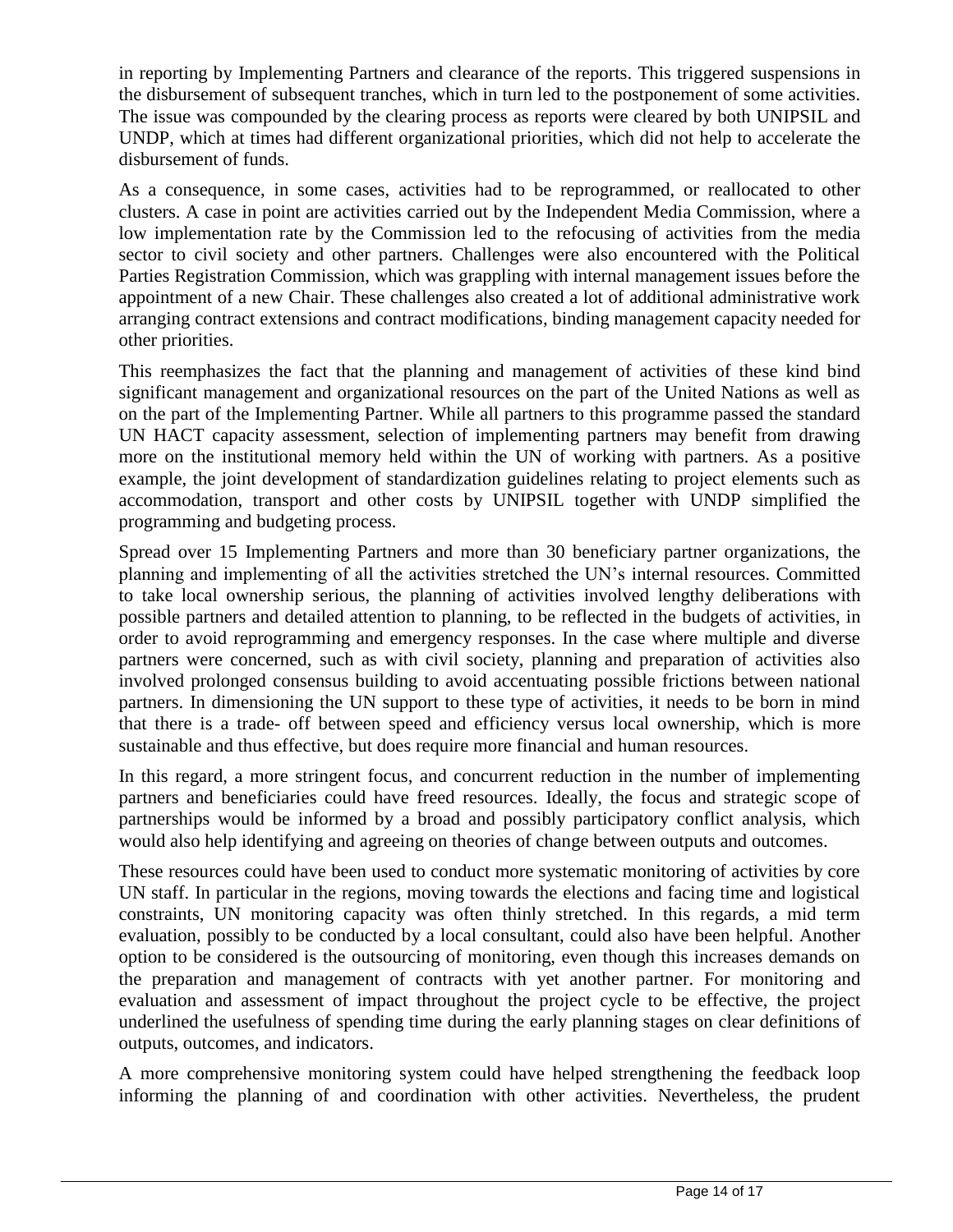in reporting by Implementing Partners and clearance of the reports. This triggered suspensions in the disbursement of subsequent tranches, which in turn led to the postponement of some activities. The issue was compounded by the clearing process as reports were cleared by both UNIPSIL and UNDP, which at times had different organizational priorities, which did not help to accelerate the disbursement of funds.

As a consequence, in some cases, activities had to be reprogrammed, or reallocated to other clusters. A case in point are activities carried out by the Independent Media Commission, where a low implementation rate by the Commission led to the refocusing of activities from the media sector to civil society and other partners. Challenges were also encountered with the Political Parties Registration Commission, which was grappling with internal management issues before the appointment of a new Chair. These challenges also created a lot of additional administrative work arranging contract extensions and contract modifications, binding management capacity needed for other priorities.

This reemphasizes the fact that the planning and management of activities of these kind bind significant management and organizational resources on the part of the United Nations as well as on the part of the Implementing Partner. While all partners to this programme passed the standard UN HACT capacity assessment, selection of implementing partners may benefit from drawing more on the institutional memory held within the UN of working with partners. As a positive example, the joint development of standardization guidelines relating to project elements such as accommodation, transport and other costs by UNIPSIL together with UNDP simplified the programming and budgeting process.

Spread over 15 Implementing Partners and more than 30 beneficiary partner organizations, the planning and implementing of all the activities stretched the UN's internal resources. Committed to take local ownership serious, the planning of activities involved lengthy deliberations with possible partners and detailed attention to planning, to be reflected in the budgets of activities, in order to avoid reprogramming and emergency responses. In the case where multiple and diverse partners were concerned, such as with civil society, planning and preparation of activities also involved prolonged consensus building to avoid accentuating possible frictions between national partners. In dimensioning the UN support to these type of activities, it needs to be born in mind that there is a trade- off between speed and efficiency versus local ownership, which is more sustainable and thus effective, but does require more financial and human resources.

In this regard, a more stringent focus, and concurrent reduction in the number of implementing partners and beneficiaries could have freed resources. Ideally, the focus and strategic scope of partnerships would be informed by a broad and possibly participatory conflict analysis, which would also help identifying and agreeing on theories of change between outputs and outcomes.

These resources could have been used to conduct more systematic monitoring of activities by core UN staff. In particular in the regions, moving towards the elections and facing time and logistical constraints, UN monitoring capacity was often thinly stretched. In this regards, a mid term evaluation, possibly to be conducted by a local consultant, could also have been helpful. Another option to be considered is the outsourcing of monitoring, even though this increases demands on the preparation and management of contracts with yet another partner. For monitoring and evaluation and assessment of impact throughout the project cycle to be effective, the project underlined the usefulness of spending time during the early planning stages on clear definitions of outputs, outcomes, and indicators.

A more comprehensive monitoring system could have helped strengthening the feedback loop informing the planning of and coordination with other activities. Nevertheless, the prudent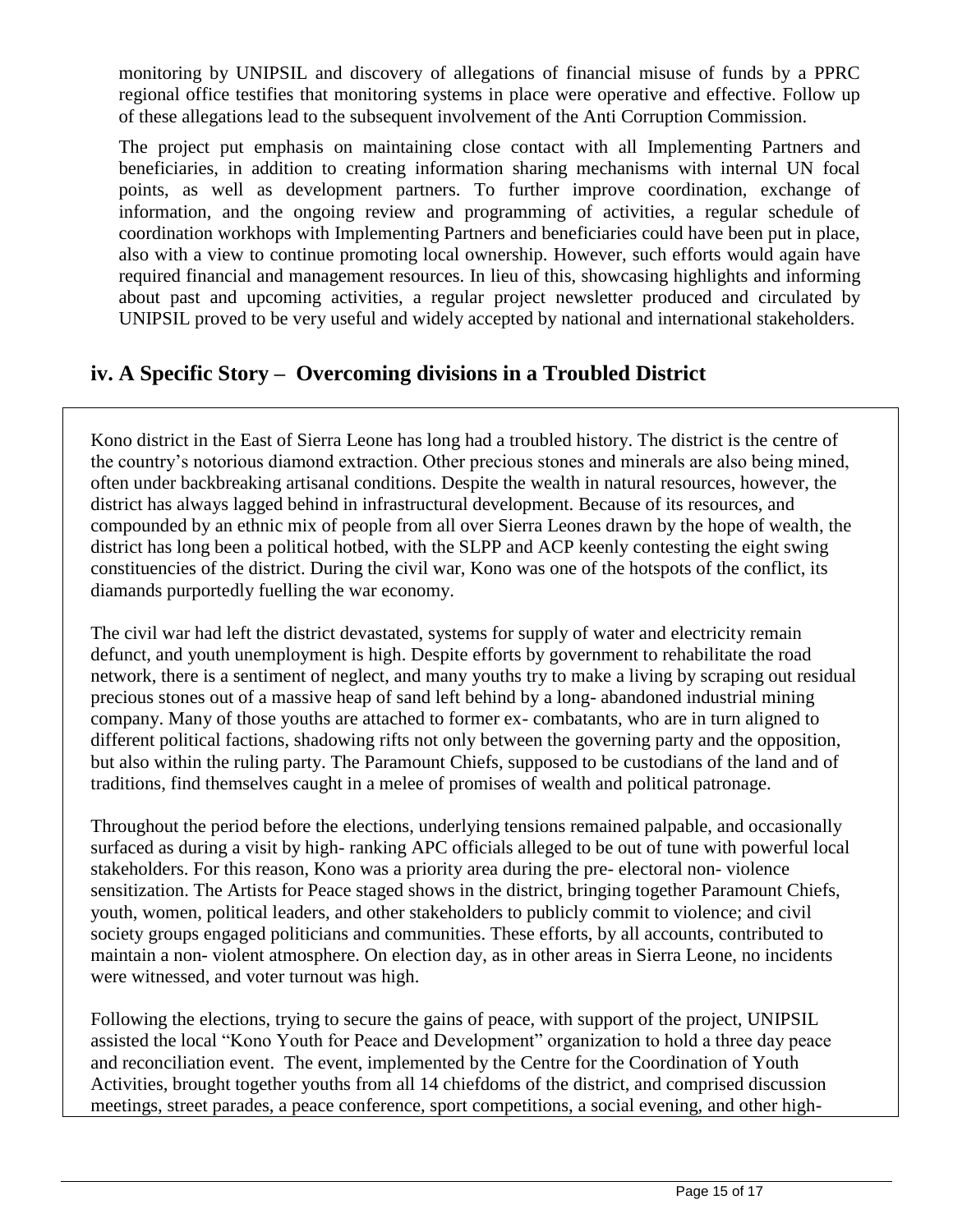monitoring by UNIPSIL and discovery of allegations of financial misuse of funds by a PPRC regional office testifies that monitoring systems in place were operative and effective. Follow up of these allegations lead to the subsequent involvement of the Anti Corruption Commission.

The project put emphasis on maintaining close contact with all Implementing Partners and beneficiaries, in addition to creating information sharing mechanisms with internal UN focal points, as well as development partners. To further improve coordination, exchange of information, and the ongoing review and programming of activities, a regular schedule of coordination workhops with Implementing Partners and beneficiaries could have been put in place, also with a view to continue promoting local ownership. However, such efforts would again have required financial and management resources. In lieu of this, showcasing highlights and informing about past and upcoming activities, a regular project newsletter produced and circulated by UNIPSIL proved to be very useful and widely accepted by national and international stakeholders.

## **iv. A Specific Story – Overcoming divisions in a Troubled District**

Kono district in the East of Sierra Leone has long had a troubled history. The district is the centre of the country's notorious diamond extraction. Other precious stones and minerals are also being mined, often under backbreaking artisanal conditions. Despite the wealth in natural resources, however, the district has always lagged behind in infrastructural development. Because of its resources, and compounded by an ethnic mix of people from all over Sierra Leones drawn by the hope of wealth, the district has long been a political hotbed, with the SLPP and ACP keenly contesting the eight swing constituencies of the district. During the civil war, Kono was one of the hotspots of the conflict, its diamands purportedly fuelling the war economy.

The civil war had left the district devastated, systems for supply of water and electricity remain defunct, and youth unemployment is high. Despite efforts by government to rehabilitate the road network, there is a sentiment of neglect, and many youths try to make a living by scraping out residual precious stones out of a massive heap of sand left behind by a long- abandoned industrial mining company. Many of those youths are attached to former ex- combatants, who are in turn aligned to different political factions, shadowing rifts not only between the governing party and the opposition, but also within the ruling party. The Paramount Chiefs, supposed to be custodians of the land and of traditions, find themselves caught in a melee of promises of wealth and political patronage.

Throughout the period before the elections, underlying tensions remained palpable, and occasionally surfaced as during a visit by high- ranking APC officials alleged to be out of tune with powerful local stakeholders. For this reason, Kono was a priority area during the pre- electoral non- violence sensitization. The Artists for Peace staged shows in the district, bringing together Paramount Chiefs, youth, women, political leaders, and other stakeholders to publicly commit to violence; and civil society groups engaged politicians and communities. These efforts, by all accounts, contributed to maintain a non- violent atmosphere. On election day, as in other areas in Sierra Leone, no incidents were witnessed, and voter turnout was high.

Following the elections, trying to secure the gains of peace, with support of the project, UNIPSIL assisted the local "Kono Youth for Peace and Development" organization to hold a three day peace and reconciliation event. The event, implemented by the Centre for the Coordination of Youth Activities, brought together youths from all 14 chiefdoms of the district, and comprised discussion meetings, street parades, a peace conference, sport competitions, a social evening, and other high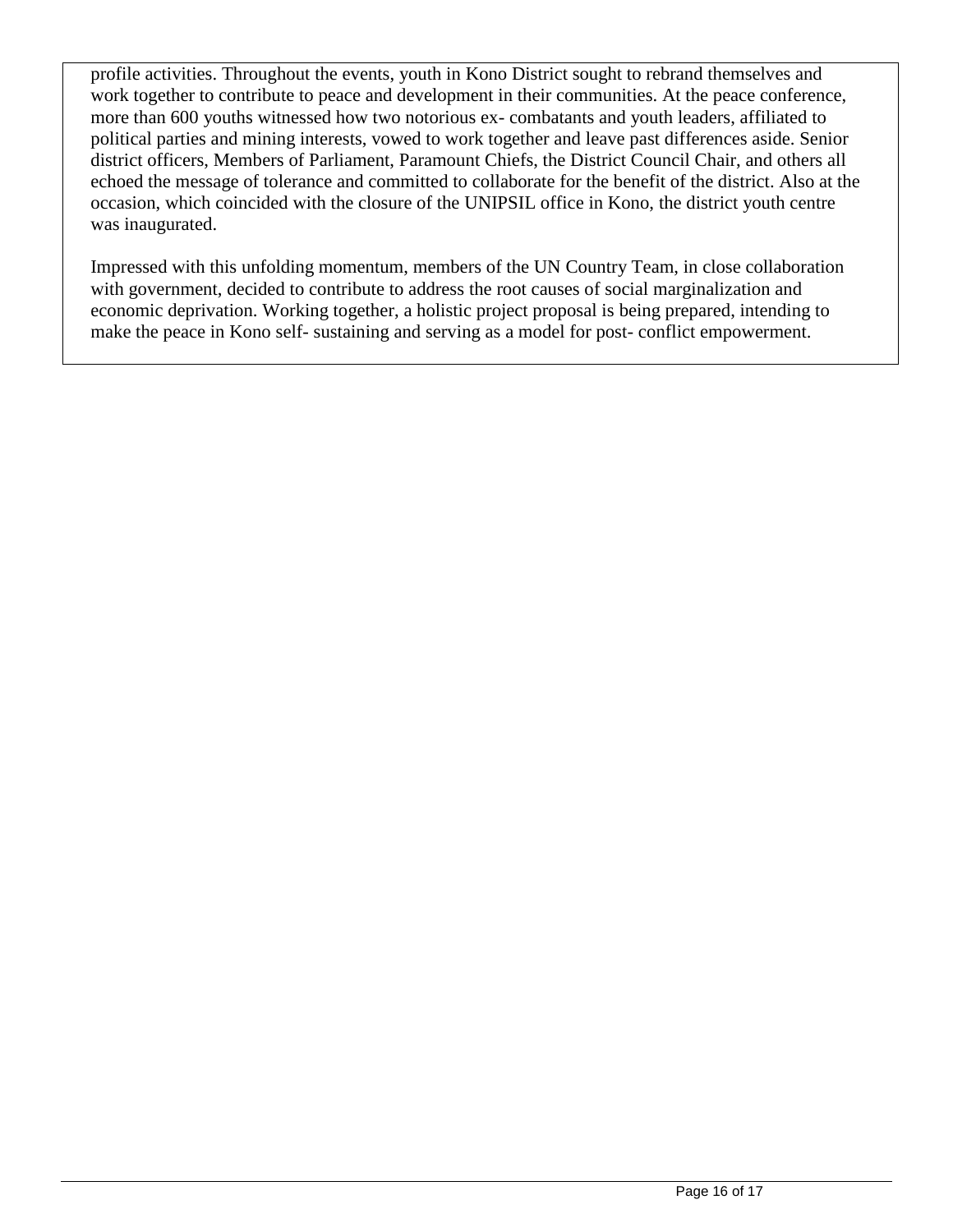profile activities. Throughout the events, youth in Kono District sought to rebrand themselves and work together to contribute to peace and development in their communities. At the peace conference, more than 600 youths witnessed how two notorious ex- combatants and youth leaders, affiliated to political parties and mining interests, vowed to work together and leave past differences aside. Senior district officers, Members of Parliament, Paramount Chiefs, the District Council Chair, and others all echoed the message of tolerance and committed to collaborate for the benefit of the district. Also at the occasion, which coincided with the closure of the UNIPSIL office in Kono, the district youth centre was inaugurated.

Impressed with this unfolding momentum, members of the UN Country Team, in close collaboration with government, decided to contribute to address the root causes of social marginalization and economic deprivation. Working together, a holistic project proposal is being prepared, intending to make the peace in Kono self- sustaining and serving as a model for post- conflict empowerment.